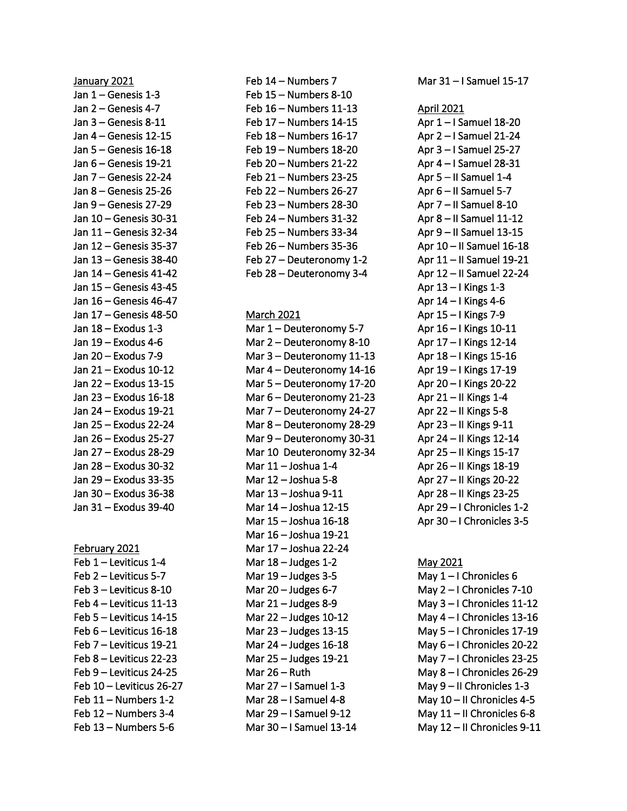January 2021 Jan 1 – Genesis 1-3 Jan 2 – Genesis 4-7 Jan 3 – Genesis 8-11 Jan 4 – Genesis 12-15 Jan 5 – Genesis 16-18 Jan 6 – Genesis 19-21 Jan 7 – Genesis 22-24 Jan 8 – Genesis 25-26 Jan 9 – Genesis 27-29 Jan 10 – Genesis 30-31 Jan 11 – Genesis 32-34 Jan 12 – Genesis 35-37 Jan 13 – Genesis 38-40 Jan 14 – Genesis 41-42 Jan 15 – Genesis 43-45 Jan 16 – Genesis 46-47 Jan 17 – Genesis 48-50 Jan 18 – Exodus 1-3 Jan 19 – Exodus 4-6 Jan 20 – Exodus 7-9 Jan 21 – Exodus 10-12 Jan 22 – Exodus 13-15 Jan 23 – Exodus 16-18 Jan 24 – Exodus 19-21 Jan 25 – Exodus 22-24 Jan 26 – Exodus 25-27 Jan 27 – Exodus 28-29 Jan 28 – Exodus 30-32 Jan 29 – Exodus 33-35 Jan 30 – Exodus 36-38 Jan 31 – Exodus 39-40

## February 2021

Feb 1 – Leviticus 1-4 Feb 2 – Leviticus 5-7 Feb 3 – Leviticus 8-10 Feb 4 – Leviticus 11-13 Feb 5 – Leviticus 14-15 Feb 6 – Leviticus 16-18 Feb 7 – Leviticus 19-21 Feb 8 – Leviticus 22-23 Feb 9 – Leviticus 24-25 Feb 10 – Leviticus 26-27 Feb 11 – Numbers 1-2 Feb 12 – Numbers 3-4 Feb 13 – Numbers 5-6

Feb 14 – Numbers 7 Feb 15 – Numbers 8-10 Feb 16 – Numbers 11-13 Feb 17 – Numbers 14-15 Feb 18 – Numbers 16-17 Feb 19 – Numbers 18-20 Feb 20 – Numbers 21-22 Feb 21 – Numbers 23-25 Feb 22 – Numbers 26-27 Feb 23 – Numbers 28-30 Feb 24 – Numbers 31-32 Feb 25 – Numbers 33-34 Feb 26 – Numbers 35-36 Feb 27 – Deuteronomy 1-2 Feb 28 – Deuteronomy 3-4

## March 2021

Mar 1 – Deuteronomy 5-7 Mar 2 – Deuteronomy 8-10 Mar 3 – Deuteronomy 11-13 Mar 4 – Deuteronomy 14-16 Mar 5 – Deuteronomy 17-20 Mar 6 – Deuteronomy 21-23 Mar 7 – Deuteronomy 24-27 Mar 8 – Deuteronomy 28-29 Mar 9 – Deuteronomy 30-31 Mar 10 Deuteronomy 32-34 Mar 11 – Joshua 1-4 Mar 12 – Joshua 5-8 Mar 13 – Joshua 9-11 Mar 14 – Joshua 12-15 Mar 15 – Joshua 16-18 Mar 16 – Joshua 19-21 Mar 17 – Joshua 22-24 Mar  $18 -$  Judges  $1-2$ Mar 19 – Judges 3-5 Mar  $20 -$  Judges 6-7 Mar 21 – Judges 8-9 Mar 22 – Judges 10-12 Mar 23 – Judges 13-15 Mar 24 – Judges 16-18 Mar 25 – Judges 19-21 Mar 26 – Ruth Mar 27 – I Samuel 1-3 Mar 28 – I Samuel 4-8 Mar 29 – I Samuel 9-12 Mar 30 – I Samuel 13-14

Mar 31 – I Samuel 15-17

## April 2021

Apr 1 – I Samuel 18-20 Apr 2 – I Samuel 21-24 Apr 3 – I Samuel 25-27 Apr 4 – I Samuel 28-31 Apr 5 – II Samuel 1-4 Apr 6 – II Samuel 5-7 Apr 7 – II Samuel 8-10 Apr 8 – II Samuel 11-12 Apr 9 – II Samuel 13-15 Apr 10 – II Samuel 16-18 Apr 11 – II Samuel 19-21 Apr 12 – II Samuel 22-24 Apr 13 – I Kings 1-3 Apr 14 – I Kings 4-6 Apr 15 – I Kings 7-9 Apr 16 – I Kings 10-11 Apr 17 – I Kings 12-14 Apr 18 – I Kings 15-16 Apr 19 – I Kings 17-19 Apr 20 – I Kings 20-22 Apr  $21 -$ II Kings 1-4 Apr 22 – II Kings 5-8 Apr 23 – II Kings 9-11 Apr 24 – II Kings 12-14 Apr 25 – II Kings 15-17 Apr 26 – II Kings 18-19 Apr 27 – II Kings 20-22 Apr 28 – II Kings 23-25 Apr 29 – I Chronicles 1-2 Apr 30 – I Chronicles 3-5

May 2021 May 1 – I Chronicles 6 May 2 – I Chronicles 7-10 May 3 – I Chronicles 11-12 May 4 – I Chronicles 13-16 May 5 – I Chronicles 17-19 May 6 – I Chronicles 20-22 May 7 – I Chronicles 23-25 May 8 – I Chronicles 26-29 May 9 – II Chronicles 1-3 May 10 – II Chronicles 4-5 May 11 – II Chronicles 6-8 May 12 – II Chronicles 9-11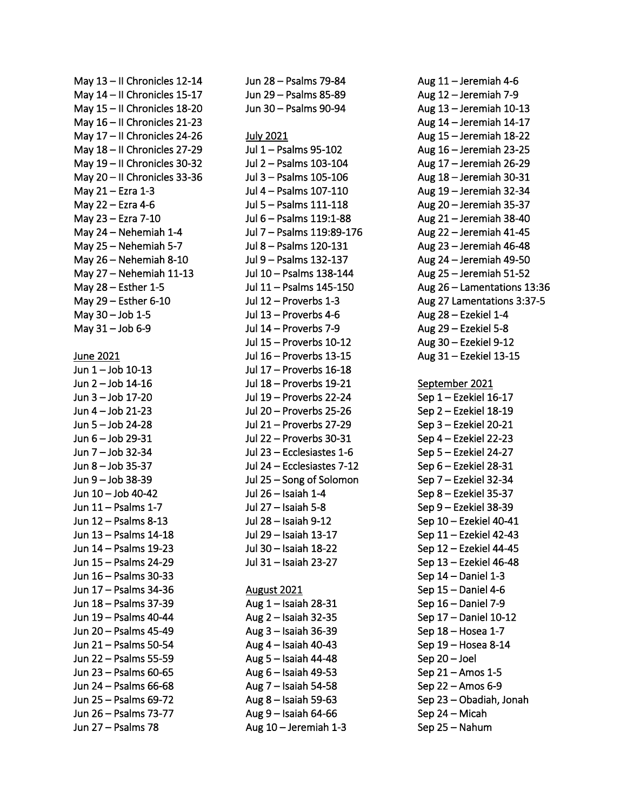May 13 – II Chronicles 12-14 May 14 – II Chronicles 15-17 May 15 – II Chronicles 18-20 May 16 – II Chronicles 21-23 May 17 – II Chronicles 24-26 May 18 – II Chronicles 27-29 May 19 – II Chronicles 30-32 May 20 – II Chronicles 33-36 May 21 – Ezra 1-3 May 22 – Ezra 4-6 May 23 – Ezra 7-10 May 24 – Nehemiah 1-4 May 25 – Nehemiah 5-7 May 26 – Nehemiah 8-10 May 27 – Nehemiah 11-13 May 28 – Esther 1-5 May 29 – Esther 6-10 May 30 – Job 1-5 May 31 – Job 6-9 June 2021 Jun 1 – Job 10-13 Jun 2 – Job 14-16 Jun 3 – Job 17-20 Jun 4 – Job 21-23 Jun 5 – Job 24-28 Jun 6 – Job 29-31 Jun 7 – Job 32-34 Jun 8 – Job 35-37 Jun 9 – Job 38-39 Jun 10 – Job 40-42 Jun 11 – Psalms 1-7 Jun 12 – Psalms 8-13 Jun 13 – Psalms 14-18 Jun 14 – Psalms 19-23 Jun 15 – Psalms 24-29 Jun 16 – Psalms 30-33 Jun 17 – Psalms 34-36 Jun 18 – Psalms 37-39 Jun 19 – Psalms 40-44 Jun 20 – Psalms 45-49 Jun 21 – Psalms 50-54 Jun 22 – Psalms 55-59 Jun 23 – Psalms 60-65 Jun 24 – Psalms 66-68 Jun 25 – Psalms 69-72 Jun 26 – Psalms 73-77 Jun 27 – Psalms 78

Jun 28 – Psalms 79-84 Jun 29 – Psalms 85-89 Jun 30 – Psalms 90-94 July 2021 Jul 1 – Psalms 95-102 Jul 2 – Psalms 103-104 Jul 3 – Psalms 105-106 Jul 4 – Psalms 107-110 Jul 5 – Psalms 111-118 Jul 6 – Psalms 119:1-88 Jul 7 – Psalms 119:89-176 Jul 8 – Psalms 120-131 Jul 9 – Psalms 132-137 Jul 10 – Psalms 138-144 Jul 11 – Psalms 145-150 Jul 12 – Proverbs 1-3 Jul 13 – Proverbs 4-6 Jul 14 – Proverbs 7-9 Jul 15 – Proverbs 10-12 Jul 16 – Proverbs 13-15 Jul 17 – Proverbs 16-18 Jul 18 – Proverbs 19-21 Jul 19 – Proverbs 22-24 Jul 20 – Proverbs 25-26 Jul 21 – Proverbs 27-29 Jul 22 – Proverbs 30-31 Jul 23 – Ecclesiastes 1-6 Jul 24 – Ecclesiastes 7-12 Jul 25 – Song of Solomon Jul 26 – Isaiah 1-4 Jul 27 – Isaiah 5-8 Jul 28 – Isaiah 9-12 Jul 29 – Isaiah 13-17 Jul 30 – Isaiah 18-22 Jul 31 – Isaiah 23-27 August 2021 Aug 1 – Isaiah 28-31 Aug 2 – Isaiah 32-35 Aug 3 – Isaiah 36-39 Aug 4 – Isaiah 40-43 Aug 5 – Isaiah 44-48 Aug 6 – Isaiah 49-53 Aug 7 – Isaiah 54-58 Aug 8 – Isaiah 59-63 Aug 9 – Isaiah 64-66

Aug 10 – Jeremiah 1-3

Aug 11 – Jeremiah 4-6 Aug 12 – Jeremiah 7-9 Aug 13 – Jeremiah 10-13 Aug 14 – Jeremiah 14-17 Aug 15 – Jeremiah 18-22 Aug 16 – Jeremiah 23-25 Aug 17 – Jeremiah 26-29 Aug 18 – Jeremiah 30-31 Aug 19 – Jeremiah 32-34 Aug 20 – Jeremiah 35-37 Aug 21 – Jeremiah 38-40 Aug 22 – Jeremiah 41-45 Aug 23 – Jeremiah 46-48 Aug 24 – Jeremiah 49-50 Aug 25 – Jeremiah 51-52 Aug 26 – Lamentations 13:36 Aug 27 Lamentations 3:37-5 Aug 28 – Ezekiel 1-4 Aug 29 – Ezekiel 5-8 Aug 30 – Ezekiel 9-12 Aug 31 – Ezekiel 13-15 September 2021 Sep 1 – Ezekiel 16-17 Sep 2 – Ezekiel 18-19 Sep 3 – Ezekiel 20-21 Sep 4 – Ezekiel 22-23 Sep 5 – Ezekiel 24-27 Sep 6 – Ezekiel 28-31 Sep 7 – Ezekiel 32-34 Sep 8 – Ezekiel 35-37 Sep 9 – Ezekiel 38-39 Sep 10 – Ezekiel 40-41 Sep 11 – Ezekiel 42-43 Sep 12 – Ezekiel 44-45 Sep 13 – Ezekiel 46-48 Sep 14 – Daniel 1-3 Sep 15 – Daniel 4-6 Sep 16 – Daniel 7-9 Sep 17 – Daniel 10-12 Sep 18 – Hosea 1-7 Sep 19 – Hosea 8-14 Sep 20 – Joel Sep 21 – Amos 1-5 Sep 22 – Amos 6-9 Sep 23 – Obadiah, Jonah Sep 24 – Micah Sep 25 – Nahum